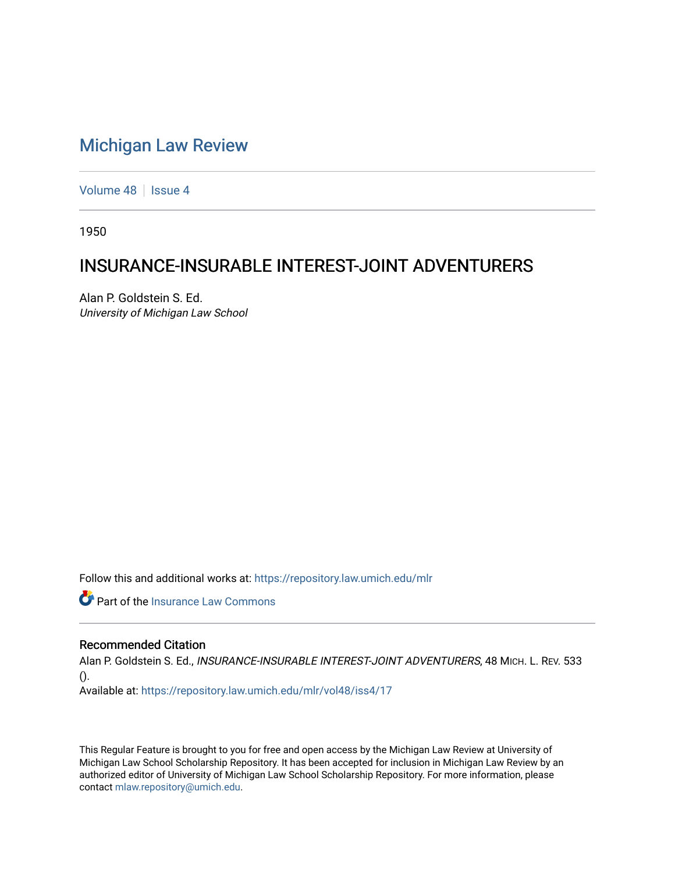## [Michigan Law Review](https://repository.law.umich.edu/mlr)

[Volume 48](https://repository.law.umich.edu/mlr/vol48) | [Issue 4](https://repository.law.umich.edu/mlr/vol48/iss4)

1950

## INSURANCE-INSURABLE INTEREST-JOINT ADVENTURERS

Alan P. Goldstein S. Ed. University of Michigan Law School

Follow this and additional works at: [https://repository.law.umich.edu/mlr](https://repository.law.umich.edu/mlr?utm_source=repository.law.umich.edu%2Fmlr%2Fvol48%2Fiss4%2F17&utm_medium=PDF&utm_campaign=PDFCoverPages) 

*C* Part of the [Insurance Law Commons](http://network.bepress.com/hgg/discipline/607?utm_source=repository.law.umich.edu%2Fmlr%2Fvol48%2Fiss4%2F17&utm_medium=PDF&utm_campaign=PDFCoverPages)

## Recommended Citation

Alan P. Goldstein S. Ed., INSURANCE-INSURABLE INTEREST-JOINT ADVENTURERS, 48 MICH. L. REV. 533 ().

Available at: [https://repository.law.umich.edu/mlr/vol48/iss4/17](https://repository.law.umich.edu/mlr/vol48/iss4/17?utm_source=repository.law.umich.edu%2Fmlr%2Fvol48%2Fiss4%2F17&utm_medium=PDF&utm_campaign=PDFCoverPages) 

This Regular Feature is brought to you for free and open access by the Michigan Law Review at University of Michigan Law School Scholarship Repository. It has been accepted for inclusion in Michigan Law Review by an authorized editor of University of Michigan Law School Scholarship Repository. For more information, please contact [mlaw.repository@umich.edu](mailto:mlaw.repository@umich.edu).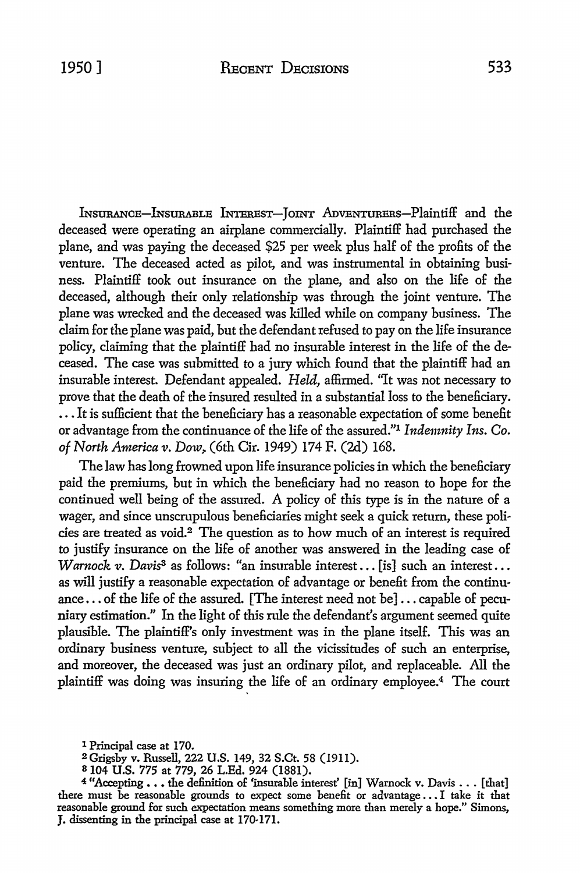lNsURANCE-lNsURABLE INTEREST-JOINT AnVENTURERs-Plaintiff and the deceased were operating an airplane commercially. Plaintiff had purchased the plane, and was paying the deceased \$25 per week plus half of the profits of the venture. The deceased acted as pilot, and was instrumental in obtaining business. Plaintiff took out insurance on the plane, and also on the life of the deceased, although their only relationship was through the joint venture. The plane was wrecked and the deceased was killed while on company business. The claim for the plane was paid, but the defendant refused to pay on the life insurance policy, claiming that the plaintiff had no insurable interest in the life of the deceased. The case was submitted to a jury which found that the plaintiff had an insurable interest. Defendant appealed. *Held,* affirmed. "It was not necessary to prove that the death of the insured resulted in a substantial loss to the beneficiary . . . . It is sufficient that the beneficiary has a reasonable expectation of some benefit or advantage from the continuance of the life of the assured."1 *Indemnity Ins. Co. of North America v.* Dow,. (6th Cir. 1949) 174 F. (2d) 168.

The law has long frowned upon life insurance policies in which the beneficiary paid the premiums, but in which the beneficiary had no reason to hope for the continued well being of the assured. A policy of this type is in the nature of a wager, and since unscrupulous beneficiaries might seek a quick return, these policies are treated as void.2 The question as to how much of an interest is required to justify insurance on the life of another was answered in the leading case of *Warnock v. Davis3* as follows: "an insurable interest ... [is] such an interest ... as will justify a reasonable expectation of advantage or benefit from the continuance •.. of the life of the assured. [The interest need not be] ... capable of pecuniary estimation." In the light of this rule the defendant's argument seemed quite plausible. The plaintiff's only investment was in the plane itself. This was an ordinary business venture, subject to all the vicissitudes of such an enterprise, and moreover, the deceased was just an ordinary pilot, and replaceable. All the plaintiff was doing was insuring the life of an ordinary employee.4 The court

- <sup>2</sup>Grigsby v. Russell, 222 U.S. 149, 32 S.Ct. 58 (1911).
- <sup>8</sup>104 **U.S.** 775 at 779, 26 L.Ed. 924 (1881).

<sup>1</sup> Principal case at 170.

<sup>&</sup>lt;sup>4</sup> "Accepting . . . the definition of 'insurable interest' [in] Warnock v. Davis . . . [that] there must be reasonable grounds to expect some benefit or advantage ... I take it that reasonable ground for such expectation means something more than merely a hope." Simons, **J.** dissenting in the principal case at 170-171.